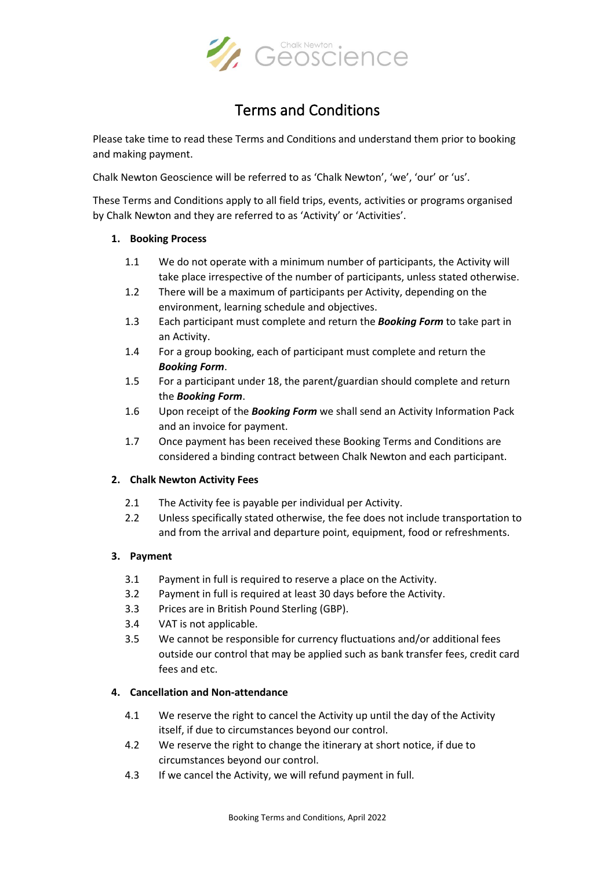

# Terms and Conditions

Please take time to read these Terms and Conditions and understand them prior to booking and making payment.

Chalk Newton Geoscience will be referred to as 'Chalk Newton', 'we', 'our' or 'us'.

These Terms and Conditions apply to all field trips, events, activities or programs organised by Chalk Newton and they are referred to as 'Activity' or 'Activities'.

### **1. Booking Process**

- 1.1 We do not operate with a minimum number of participants, the Activity will take place irrespective of the number of participants, unless stated otherwise.
- 1.2 There will be a maximum of participants per Activity, depending on the environment, learning schedule and objectives.
- 1.3 Each participant must complete and return the *Booking Form* to take part in an Activity.
- 1.4 For a group booking, each of participant must complete and return the *Booking Form*.
- 1.5 For a participant under 18, the parent/guardian should complete and return the *Booking Form*.
- 1.6 Upon receipt of the *Booking Form* we shall send an Activity Information Pack and an invoice for payment.
- 1.7 Once payment has been received these Booking Terms and Conditions are considered a binding contract between Chalk Newton and each participant.

# **2. Chalk Newton Activity Fees**

- 2.1 The Activity fee is payable per individual per Activity.
- 2.2 Unless specifically stated otherwise, the fee does not include transportation to and from the arrival and departure point, equipment, food or refreshments.

#### **3. Payment**

- 3.1 Payment in full is required to reserve a place on the Activity.
- 3.2 Payment in full is required at least 30 days before the Activity.
- 3.3 Prices are in British Pound Sterling (GBP).
- 3.4 VAT is not applicable.
- 3.5 We cannot be responsible for currency fluctuations and/or additional fees outside our control that may be applied such as bank transfer fees, credit card fees and etc.

#### **4. Cancellation and Non-attendance**

- 4.1 We reserve the right to cancel the Activity up until the day of the Activity itself, if due to circumstances beyond our control.
- 4.2 We reserve the right to change the itinerary at short notice, if due to circumstances beyond our control.
- 4.3 If we cancel the Activity, we will refund payment in full.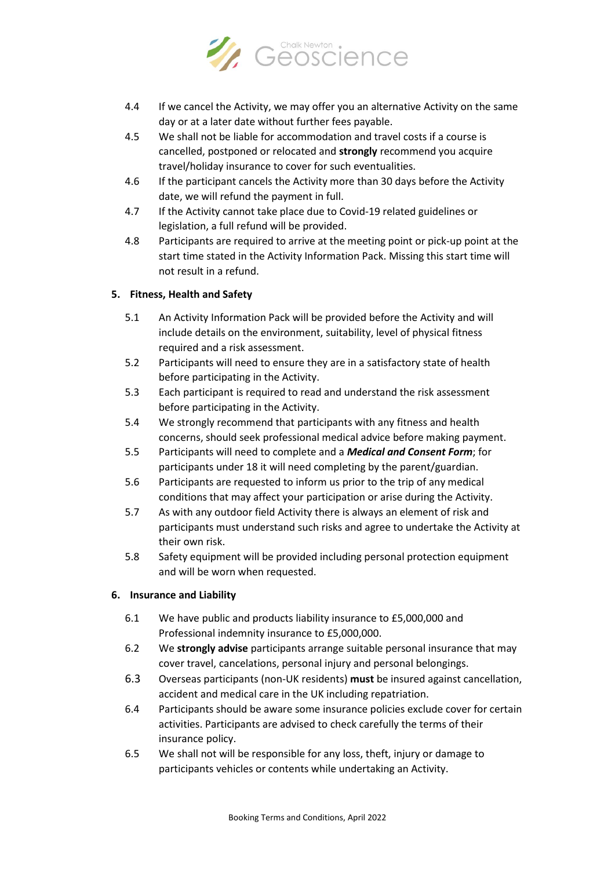

- 4.4 If we cancel the Activity, we may offer you an alternative Activity on the same day or at a later date without further fees payable.
- 4.5 We shall not be liable for accommodation and travel costs if a course is cancelled, postponed or relocated and **strongly** recommend you acquire travel/holiday insurance to cover for such eventualities.
- 4.6 If the participant cancels the Activity more than 30 days before the Activity date, we will refund the payment in full.
- 4.7 If the Activity cannot take place due to Covid-19 related guidelines or legislation, a full refund will be provided.
- 4.8 Participants are required to arrive at the meeting point or pick-up point at the start time stated in the Activity Information Pack. Missing this start time will not result in a refund.

# **5. Fitness, Health and Safety**

- 5.1 An Activity Information Pack will be provided before the Activity and will include details on the environment, suitability, level of physical fitness required and a risk assessment.
- 5.2 Participants will need to ensure they are in a satisfactory state of health before participating in the Activity.
- 5.3 Each participant is required to read and understand the risk assessment before participating in the Activity.
- 5.4 We strongly recommend that participants with any fitness and health concerns, should seek professional medical advice before making payment.
- 5.5 Participants will need to complete and a *Medical and Consent Form*; for participants under 18 it will need completing by the parent/guardian.
- 5.6 Participants are requested to inform us prior to the trip of any medical conditions that may affect your participation or arise during the Activity.
- 5.7 As with any outdoor field Activity there is always an element of risk and participants must understand such risks and agree to undertake the Activity at their own risk.
- 5.8 Safety equipment will be provided including personal protection equipment and will be worn when requested.

# **6. Insurance and Liability**

- 6.1 We have public and products liability insurance to £5,000,000 and Professional indemnity insurance to £5,000,000.
- 6.2 We **strongly advise** participants arrange suitable personal insurance that may cover travel, cancelations, personal injury and personal belongings.
- 6.3 Overseas participants (non-UK residents) **must** be insured against cancellation, accident and medical care in the UK including repatriation.
- 6.4 Participants should be aware some insurance policies exclude cover for certain activities. Participants are advised to check carefully the terms of their insurance policy.
- 6.5 We shall not will be responsible for any loss, theft, injury or damage to participants vehicles or contents while undertaking an Activity.